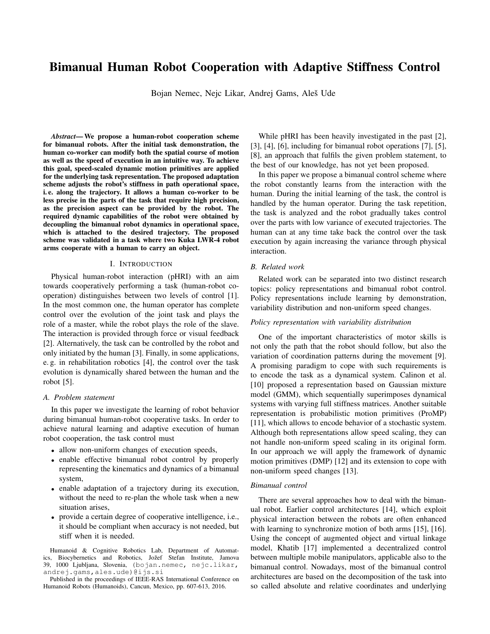# Bimanual Human Robot Cooperation with Adaptive Stiffness Control

Bojan Nemec, Nejc Likar, Andrej Gams, Aleš Ude

*Abstract*— We propose a human-robot cooperation scheme for bimanual robots. After the initial task demonstration, the human co-worker can modify both the spatial course of motion as well as the speed of execution in an intuitive way. To achieve this goal, speed-scaled dynamic motion primitives are applied for the underlying task representation. The proposed adaptation scheme adjusts the robot's stiffness in path operational space, i. e. along the trajectory. It allows a human co-worker to be less precise in the parts of the task that require high precision, as the precision aspect can be provided by the robot. The required dynamic capabilities of the robot were obtained by decoupling the bimanual robot dynamics in operational space, which is attached to the desired trajectory. The proposed scheme was validated in a task where two Kuka LWR-4 robot arms cooperate with a human to carry an object.

# I. INTRODUCTION

Physical human-robot interaction (pHRI) with an aim towards cooperatively performing a task (human-robot cooperation) distinguishes between two levels of control [1]. In the most common one, the human operator has complete control over the evolution of the joint task and plays the role of a master, while the robot plays the role of the slave. The interaction is provided through force or visual feedback [2]. Alternatively, the task can be controlled by the robot and only initiated by the human [3]. Finally, in some applications, e. g. in rehabilitation robotics [4], the control over the task evolution is dynamically shared between the human and the robot [5].

# *A. Problem statement*

In this paper we investigate the learning of robot behavior during bimanual human-robot cooperative tasks. In order to achieve natural learning and adaptive execution of human robot cooperation, the task control must

- allow non-uniform changes of execution speeds,
- enable effective bimanual robot control by properly representing the kinematics and dynamics of a bimanual system,
- enable adaptation of a trajectory during its execution, without the need to re-plan the whole task when a new situation arises,
- provide a certain degree of cooperative intelligence, i.e., it should be compliant when accuracy is not needed, but stiff when it is needed.

Humanoid & Cognitive Robotics Lab, Department of Automatics, Biocybernetics and Robotics, Jožef Stefan Institute, Jamova 39, 1000 Ljubljana, Slovenia, (bojan.nemec, nejc.likar, andrej.gams,ales.ude)@ijs.si

Published in the proceedings of IEEE-RAS International Conference on Humanoid Robots (Humanoids), Cancun, Mexico, pp. 607-613, 2016.

While pHRI has been heavily investigated in the past [2], [3], [4], [6], including for bimanual robot operations [7], [5], [8], an approach that fulfils the given problem statement, to the best of our knowledge, has not yet been proposed.

In this paper we propose a bimanual control scheme where the robot constantly learns from the interaction with the human. During the initial learning of the task, the control is handled by the human operator. During the task repetition, the task is analyzed and the robot gradually takes control over the parts with low variance of executed trajectories. The human can at any time take back the control over the task execution by again increasing the variance through physical interaction.

# *B. Related work*

Related work can be separated into two distinct research topics: policy representations and bimanual robot control. Policy representations include learning by demonstration, variability distribution and non-uniform speed changes.

#### *Policy representation with variability distribution*

One of the important characteristics of motor skills is not only the path that the robot should follow, but also the variation of coordination patterns during the movement [9]. A promising paradigm to cope with such requirements is to encode the task as a dynamical system. Calinon et al. [10] proposed a representation based on Gaussian mixture model (GMM), which sequentially superimposes dynamical systems with varying full stiffness matrices. Another suitable representation is probabilistic motion primitives (ProMP) [11], which allows to encode behavior of a stochastic system. Although both representations allow speed scaling, they can not handle non-uniform speed scaling in its original form. In our approach we will apply the framework of dynamic motion primitives (DMP) [12] and its extension to cope with non-uniform speed changes [13].

#### *Bimanual control*

There are several approaches how to deal with the bimanual robot. Earlier control architectures [14], which exploit physical interaction between the robots are often enhanced with learning to synchronize motion of both arms [15], [16]. Using the concept of augmented object and virtual linkage model, Khatib [17] implemented a decentralized control between multiple mobile manipulators, applicable also to the bimanual control. Nowadays, most of the bimanual control architectures are based on the decomposition of the task into so called absolute and relative coordinates and underlying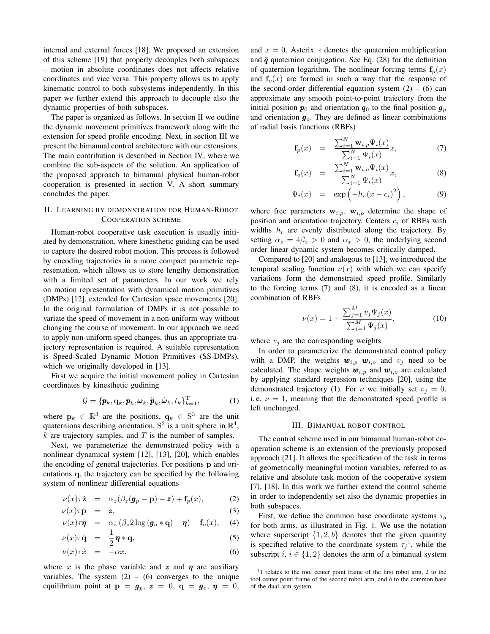internal and external forces [18]. We proposed an extension of this scheme [19] that properly decouples both subspaces – motion in absolute coordinates does not affects relative coordinates and vice versa. This property allows us to apply kinematic control to both subsystems independently. In this paper we further extend this approach to decouple also the dynamic properties of both subspaces.

The paper is organized as follows. In section II we outline the dynamic movement primitives framework along with the extension for speed profile encoding. Next, in section III we present the bimanual control architecture with our extensions. The main contribution is described in Section IV, where we combine the sub-aspects of the solution. An application of the proposed approach to bimanual physical human-robot cooperation is presented in section V. A short summary concludes the paper.

# II. LEARNING BY DEMONSTRATION FOR HUMAN-ROBOT COOPERATION SCHEME

Human-robot cooperative task execution is usually initiated by demonstration, where kinesthetic guiding can be used to capture the desired robot motion. This process is followed by encoding trajectories in a more compact parametric representation, which allows us to store lengthy demonstration with a limited set of parameters. In our work we rely on motion representation with dynamical motion primitives (DMPs) [12], extended for Cartesian space movements [20]. In the original formulation of DMPs it is not possible to variate the speed of movement in a non-uniform way without changing the course of movement. In our approach we need to apply non-uniform speed changes, thus an appropriate trajectory representation is required. A suitable representation is Speed-Scaled Dynamic Motion Primitives (SS-DMPs), which we originally developed in [13].

First we acquire the initial movement policy in Cartesian coordinates by kinesthetic gudining

$$
\mathcal{G} = {\boldsymbol{p}_k, \mathbf{q}_k, \dot{\boldsymbol{p}}_k, \boldsymbol{\omega}_k, \ddot{\boldsymbol{p}}_k, \dot{\boldsymbol{\omega}}_k, t_k\}_{k=1}^T,
$$
 (1)

where  $\mathbf{p}_k \in \mathbb{R}^3$  are the positions,  $\mathbf{q}_k \in \mathbb{S}^3$  are the unit quaternions describing orientation,  $S^3$  is a unit sphere in  $\mathbb{R}^4$ ,  $k$  are trajectory samples, and  $T$  is the number of samples.

Next, we parameterize the demonstrated policy with a nonlinear dynamical system [12], [13], [20], which enables the encoding of general trajectories. For positions p and orientations q, the trajectory can be specified by the following system of nonlinear differential equations

$$
\nu(x)\tau\dot{\mathbf{z}} = \alpha_z(\beta_z(\boldsymbol{g}_p - \mathbf{p}) - \mathbf{z}) + \mathbf{f}_p(x), \tag{2}
$$

$$
\nu(x)\tau\dot{\mathbf{p}} = \mathbf{z},\tag{3}
$$

$$
\nu(x)\tau\dot{\eta} = \alpha_z(\beta_z 2\log(\bm{g}_o*\overline{\mathbf{q}})-\bm{\eta})+\mathbf{f}_o(x), \quad (4)
$$

$$
\nu(x)\tau\dot{\mathbf{q}} = \frac{1}{2}\boldsymbol{\eta} * \mathbf{q}, \qquad (5)
$$

$$
\nu(x)\tau\dot{x} = -\alpha x.\tag{6}
$$

where x is the phase variable and z and  $\eta$  are auxiliary variables. The system  $(2) - (6)$  converges to the unique equilibrium point at  $\mathbf{p} = \mathbf{g}_p$ ,  $\mathbf{z} = 0$ ,  $\mathbf{q} = \mathbf{g}_o$ ,  $\mathbf{\eta} = 0$ ,

and  $x = 0$ . Asterix  $*$  denotes the quaternion multiplication and  $\bar{q}$  quaternion conjugation. See Eq. (28) for the definition of quaternion logarithm. The nonlinear forcing terms  $f_p(x)$ and  $f<sub>o</sub>(x)$  are formed in such a way that the response of the second-order differential equation system  $(2) - (6)$  can approximate any smooth point-to-point trajectory from the initial position  $p_0$  and orientation  $q_0$  to the final position  $g_p$ and orientation  $g<sub>o</sub>$ . They are defined as linear combinations of radial basis functions (RBFs)

$$
\mathbf{f}_p(x) = \frac{\sum_{i=1}^N \mathbf{w}_{i,p} \Psi_i(x)}{\sum_{i=1}^N \Psi_i(x)} x,
$$
\n(7)

$$
\mathbf{f}_o(x) = \frac{\sum_{i=1}^N \mathbf{w}_{i,o} \Psi_i(x)}{\sum_{i=1}^N \Psi_i(x)} x,
$$
\n(8)

$$
\Psi_i(x) = \exp\left(-h_i\left(x-c_i\right)^2\right), \tag{9}
$$

where free parameters  $w_{i,p}$ ,  $w_{i,o}$  determine the shape of position and orientation trajectory. Centers  $c_i$  of RBFs with widths  $h_i$  are evenly distributed along the trajectory. By setting  $\alpha_z = 4\beta_z > 0$  and  $\alpha_x > 0$ , the underlying second order linear dynamic system becomes critically damped.

Compared to [20] and analogous to [13], we introduced the temporal scaling function  $\nu(x)$  with which we can specify variations form the demonstrated speed profile. Similarly to the forcing terms (7) and (8), it is encoded as a linear combination of RBFs

$$
\nu(x) = 1 + \frac{\sum_{j=1}^{M} v_j \Psi_j(x)}{\sum_{j=1}^{M} \Psi_j(x)},
$$
\n(10)

where  $v_i$  are the corresponding weights.

In order to parameterize the demonstrated control policy with a DMP, the weights  $w_{i,p}$   $w_{i,o}$  and  $v_j$  need to be calculated. The shape weights  $w_{i,p}$  and  $w_{i,o}$  are calculated by applying standard regression techniques [20], using the demonstrated trajectory (1). For  $\nu$  we initially set  $v_i = 0$ , i.e.  $\nu = 1$ , meaning that the demonstrated speed profile is left unchanged.

#### III. BIMANUAL ROBOT CONTROL

The control scheme used in our bimanual human-robot cooperation scheme is an extension of the previously proposed approach [21]. It allows the specification of the task in terms of geometrically meaningful motion variables, referred to as relative and absolute task motion of the cooperative system [7], [18]. In this work we further extend the control scheme in order to independently set also the dynamic properties in both subspaces.

First, we define the common base coordinate systems  $\tau_b$ for both arms, as illustrated in Fig. 1. We use the notation where superscript  $\{1, 2, b\}$  denotes that the given quantity is specified relative to the coordinate system  $\tau_j^1$ , while the subscript  $i, i \in \{1, 2\}$  denotes the arm of a bimanual system

<sup>&</sup>lt;sup>1</sup>1 relates to the tool center point frame of the first robot arm, 2 to the tool center point frame of the second robot arm, and  $b$  to the common base of the dual arm system.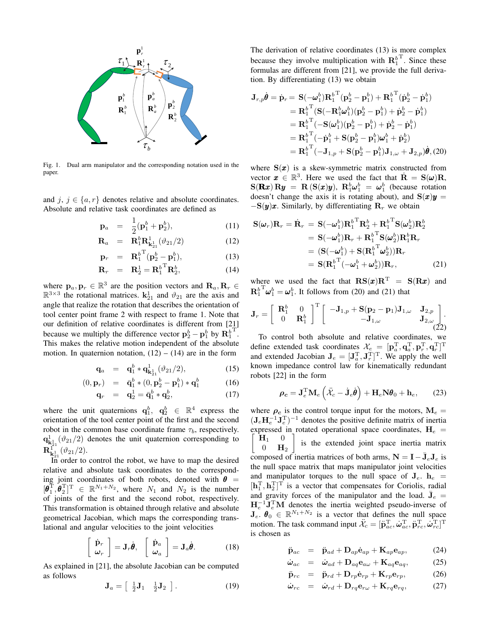

Fig. 1. Dual arm manipulator and the corresponding notation used in the paper.

and j,  $j \in \{a, r\}$  denotes relative and absolute coordinates. Absolute and relative task coordinates are defined as

$$
\mathbf{p}_a = \frac{1}{2} (\mathbf{p}_1^b + \mathbf{p}_2^b), \tag{11}
$$

$$
\mathbf{R}_a = \mathbf{R}_1^b \mathbf{R}_{\mathbf{k}_{21}^1}^1(\vartheta_{21}/2) \tag{12}
$$

$$
\mathbf{p}_r = \mathbf{R}_1^{b}{}^{\mathrm{T}} (\mathbf{p}_2^b - \mathbf{p}_1^b), \tag{13}
$$

$$
\mathbf{R}_r = \mathbf{R}_2^1 = {\mathbf{R}_1^b}^{\mathrm{T}} \mathbf{R}_2^b, \tag{14}
$$

where  $\mathbf{p}_a, \mathbf{p}_r \in \mathbb{R}^3$  are the position vectors and  $\mathbf{R}_a, \mathbf{R}_r \in$  $\mathbb{R}^{3\times 3}$  the rotational matrices.  $\mathbf{k}_{21}^1$  and  $\vartheta_{21}$  are the axis and angle that realize the rotation that describes the orientation of tool center point frame 2 with respect to frame 1. Note that our definition of relative coordinates is different from [21] because we multiply the difference vector  $\mathbf{p}_2^b - \mathbf{p}_1^b$  by  $\mathbf{R}_1^b$ T . This makes the relative motion independent of the absolute motion. In quaternion notation,  $(12) - (14)$  are in the form

$$
\mathbf{q}_a = \mathbf{q}_1^b * \mathbf{q}_{\mathbf{k}_{21}}^1(\vartheta_{21}/2), \tag{15}
$$

$$
(0, \mathbf{p}_r) = \bar{\mathbf{q}}_1^b * (0, \mathbf{p}_2^b - \mathbf{p}_1^b) * \mathbf{q}_1^b \tag{16}
$$

$$
\mathbf{q}_r = \mathbf{q}_2^1 = \bar{\mathbf{q}}_1^b * \mathbf{q}_2^b, \tag{17}
$$

where the unit quaternions  $\mathbf{q}_1^b$ ,  $\mathbf{q}_2^b$   $\in \mathbb{R}^4$  express the orientation of the tool center point of the first and the second robot in the common base coordinate frame  $\tau_b$ , respectively.  $q_{\mathbf{k}_{21}}^1(\vartheta_{21}/2)$  denotes the unit quaternion corresponding to  ${\bf R}^{1^{\ast}_{1}}_{{\bf k}^{1}_{21}}(\vartheta_{21}/2).$ 

In order to control the robot, we have to map the desired relative and absolute task coordinates to the corresponding joint coordinates of both robots, denoted with  $\theta$  =  $[\boldsymbol{\theta}_1^{\mathrm{T}}, \boldsymbol{\theta}_2^{\mathrm{T}}]^{\mathrm{T}} \in \mathbb{R}^{N_1 + N_2}$ , where  $N_1$  and  $N_2$  is the number of joints of the first and the second robot, respectively. This transformation is obtained through relative and absolute geometrical Jacobian, which maps the corresponding translational and angular velocities to the joint velocities

$$
\left[\begin{array}{c}\dot{\mathbf{p}}_{r}\\ \boldsymbol{\omega}_{r}\end{array}\right]=\mathbf{J}_{r}\dot{\boldsymbol{\theta}},\ \left[\begin{array}{c}\dot{\mathbf{p}}_{a}\\ \boldsymbol{\omega}_{a}\end{array}\right]=\mathbf{J}_{a}\dot{\boldsymbol{\theta}}.\tag{18}
$$

As explained in [21], the absolute Jacobian can be computed as follows

$$
\mathbf{J}_a = \begin{bmatrix} \frac{1}{2} \mathbf{J}_1 & \frac{1}{2} \mathbf{J}_2 \end{bmatrix} . \tag{19}
$$

 $\mathbf{R}_{r+1}^1$   $\tau_2$  because they involve multiplication with  $\mathbf{R}_1^b$ **p**<sup> $\mathbf{p}$ </sup> The derivation of relative coordinates (13) is more complex T . Since these formulas are different from [21], we provide the full derivation. By differentiating (13) we obtain

$$
\begin{aligned} \mathbf{B}_{2}^{b} \\ \mathbf{P}_{2}^{b} \\ \mathbf{R}_{2}^{b} \\ \mathbf{R}_{2}^{b} \\ \mathbf{R}_{3}^{b} \\ \mathbf{R}_{4}^{b} \\ \mathbf{R}_{5}^{b} \\ \mathbf{R}_{6}^{b} \\ \mathbf{R}_{7}^{b} \\ \mathbf{R}_{8}^{b} \\ \mathbf{R}_{9}^{b} \\ \mathbf{R}_{1}^{b} \\ \mathbf{R}_{1}^{b} \\ \mathbf{R}_{2}^{b} \\ \mathbf{R}_{3}^{b} \\ \mathbf{R}_{4}^{b} \\ \mathbf{R}_{5}^{b} \\ \mathbf{R}_{1}^{b} \\ \mathbf{R}_{2}^{b} \\ \mathbf{R}_{3}^{b} \\ \mathbf{R}_{4}^{b} \\ \mathbf{R}_{5}^{b} \\ \mathbf{R}_{1}^{b} \\ \mathbf{R}_{2}^{b} \\ \mathbf{R}_{3}^{b} \\ \mathbf{R}_{4}^{b} \\ \mathbf{R}_{5}^{b} \\ \mathbf{R}_{1}^{b} \\ \mathbf{R}_{2}^{b} \\ \mathbf{R}_{3}^{b} \\ \mathbf{R}_{4}^{b} \\ \mathbf{R}_{5}^{b} \\ \mathbf{R}_{6}^{b} \\ \mathbf{R}_{7}^{b} \\ \mathbf{R}_{8}^{b} \\ \mathbf{R}_{9}^{b} \\ \mathbf{R}_{1}^{b} \\ \mathbf{R}_{1}^{b} \\ \mathbf{R}_{2}^{b} \\ \mathbf{R}_{1}^{b} \\ \mathbf{R}_{2}^{b} \\ \mathbf{R}_{3}^{b} \\ \mathbf{R}_{1}^{b} \\ \mathbf{R}_{2}^{b} \\ \mathbf{R}_{2}^{b} \\ \mathbf{R}_{3}^{b} \\ \mathbf{R}_{1}^{b} \\ \mathbf{R}_{2}^{b} \\ \mathbf{R}_{2}^{b} \\ \mathbf{R}_{3}^{b} \\ \mathbf{R}_{4}^{b} \\ \mathbf{R}_{5}^{b} \\ \mathbf{R}_{5}^{b} \\ \mathbf{R}_{6}^{b} \\ \mathbf{R}_{7}^{b} \\ \mathbf{R}_{8}^{b} \\ \mathbf{R}_{9}^{b} \\ \mathbf{R}_{1}^{b} \\ \mathbf{R}_{2}^{b} \\ \mathbf{R}_{3}^{b} \\ \mathbf{R}_{4}^{b} \\ \mathbf{R}_{5}^{b} \\ \mathbf{R}_{7}^{b}
$$

where  $S(x)$  is a skew-symmetric matrix constructed from vector  $\mathbf{x} \in \mathbb{R}^3$ . Here we used the fact that  $\dot{\mathbf{R}} = \mathbf{S}(\boldsymbol{\omega})\mathbf{R}$ ,  $S(Rx) Ry = R(S(x)y), R_1^b \omega_1^b = \omega_1^b$  (because rotation doesn't change the axis it is rotating about), and  $S(x)y =$  $-\mathbf{S}(\mathbf{y})\mathbf{x}$ . Similarly, by differentiating  $\mathbf{R}_r$  we obtain

$$
\mathbf{S}(\omega_r)\mathbf{R}_r = \dot{\mathbf{R}}_r = \mathbf{S}(-\omega_1^b)\mathbf{R}_1^b \mathbf{R}_2^b + {\mathbf{R}_1^b}^T \mathbf{S}(\omega_2^b)\mathbf{R}_2^b
$$
  
\n
$$
= \mathbf{S}(-\omega_1^b)\mathbf{R}_r + {\mathbf{R}_1^b}^T \mathbf{S}(\omega_2^b)\mathbf{R}_1^b \mathbf{R}_r
$$
  
\n
$$
= (\mathbf{S}(-\omega_1^b) + \mathbf{S}(\mathbf{R}_1^b \mathbf{R}_2^b))\mathbf{R}_r
$$
  
\n
$$
= \mathbf{S}(\mathbf{R}_1^b \mathbf{R}_1^b - \omega_1^b + \omega_2^b)\mathbf{R}_r,
$$
 (21)

where we used the fact that  $\text{RS}(x) \text{R}^{\text{T}} = \text{S}(\text{R}x)$  and  $\mathbf{R}^b_1$  ${}^{\mathrm{T}}\omega_1^b = \omega_1^b$ . It follows from (20) and (21) that

$$
\mathbf{J}_r = \begin{bmatrix} \mathbf{R}_1^b & 0 \\ 0 & \mathbf{R}_1^b \end{bmatrix}^{\mathrm{T}} \begin{bmatrix} -\mathbf{J}_{1,p} + \mathbf{S}(\mathbf{p}_2 - \mathbf{p}_1) \mathbf{J}_{1,\omega} & \mathbf{J}_{2,p} \\ -\mathbf{J}_{1,\omega} & \mathbf{J}_{2,\omega} \\ (22) \end{bmatrix}.
$$

To control both absolute and relative coordinates, we define extended task coordinates  $\mathcal{X}_e = [\mathbf{p}_a^{\mathrm{T}}, \mathbf{q}_a^{\mathrm{T}}, \mathbf{p}_r^{\mathrm{T}}, \mathbf{q}_r^{\mathrm{T}}]^{\mathrm{T}}$ and extended Jacobian  $J_e = [J_a^T, J_r^T]^T$ . We apply the well known impedance control law for kinematically redundant robots [22] in the form

$$
\rho_c = \mathbf{J}_e^{\mathrm{T}} \mathbf{M}_e \left( \ddot{\mathcal{X}}_c - \dot{\mathbf{J}}_e \dot{\boldsymbol{\theta}} \right) + \mathbf{H}_e \mathbf{N} \boldsymbol{\theta}_0 + \mathbf{h}_e, \qquad (23)
$$

where  $\rho_c$  is the control torque input for the motors,  $M_e =$  $(\mathbf{J}_e \mathbf{H}_e^{-1} \mathbf{J}_e^{\mathrm{T}})^{-1}$  denotes the positive definite matrix of inertia expressed in rotated operational space coordinates,  $H_e =$ ſ  $H_1$  0  $0$   $\mathbf{H}_2$ 1 is the extended joint space inertia matrix composed of inertia matrices of both arms,  $N = I - \bar{J}_e J_e$  is the null space matrix that maps manipulator joint velocities and manipulator torques to the null space of  $J_e$ .  $h_e$  $[\mathbf{h}_1^{\mathrm{T}}, \mathbf{h}_2^{\mathrm{T}}]^{\mathrm{T}}$  is a vector that compensates for Coriolis, radial and gravity forces of the manipulator and the load.  $\bar{J}_e$  =  $H_e^{-1} J_e^{T} M$  denotes the inertia weighted pseudo-inverse of  $J_e$ .  $\theta_0 \in \mathbb{R}^{N_1 + N_2}$  is a vector that defines the null space motion. The task command input  $\ddot{\mathcal{X}}_c = [\ddot{\mathbf{p}}_{ac}^\text{T}, \dot{\boldsymbol{\omega}}_{ac}^\text{T}, \ddot{\mathbf{p}}_{rc}^\text{T}, \dot{\boldsymbol{\omega}}_{rc}^\text{T}]^\text{T}$ is chosen as

$$
\ddot{\mathbf{p}}_{ac} = \ddot{\mathbf{p}}_{ad} + \mathbf{D}_{ap} \dot{\mathbf{e}}_{ap} + \mathbf{K}_{ap} \mathbf{e}_{ap}, \tag{24}
$$

$$
\dot{\omega}_{ac} = \dot{\omega}_{ad} + \mathbf{D}_{aq} \mathbf{e}_{a\omega} + \mathbf{K}_{aq} \mathbf{e}_{aq}, \tag{25}
$$

$$
\ddot{\mathbf{p}}_{rc} = \ddot{\mathbf{p}}_{rd} + \mathbf{D}_{rp} \dot{\mathbf{e}}_{rp} + \mathbf{K}_{rp} \mathbf{e}_{rp}, \qquad (26)
$$

$$
\dot{\boldsymbol{\omega}}_{rc} = \dot{\boldsymbol{\omega}}_{rd} + \mathbf{D}_{rq} \mathbf{e}_{r\omega} + \mathbf{K}_{rq} \mathbf{e}_{rq}, \qquad (27)
$$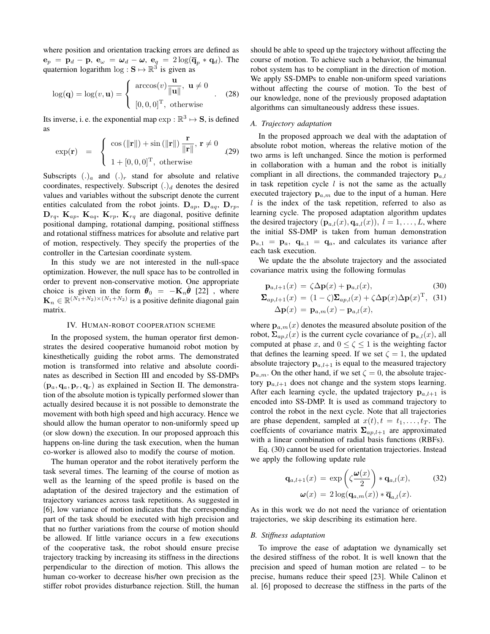where position and orientation tracking errors are defined as  $\mathbf{e}_p = \mathbf{p}_d - \mathbf{p}, \ \mathbf{e}_\omega = \boldsymbol{\omega}_d - \boldsymbol{\omega}, \ \mathbf{e}_q = 2 \log(\overline{\mathbf{q}}_p * \mathbf{q}_d).$  The quaternion logarithm  $\log : S \mapsto \mathbb{R}^3$  is given as

$$
\log(\mathbf{q}) = \log(v, \mathbf{u}) = \begin{cases} \arccos(v) \frac{\mathbf{u}}{\|\mathbf{u}\|}, \ \mathbf{u} \neq 0 \\ [0, 0, 0]^{\mathrm{T}}, \ \text{otherwise} \end{cases} . \tag{28}
$$

Its inverse, i. e. the exponential map  $\exp : \mathbb{R}^3 \mapsto S$ , is defined as

$$
\exp(\mathbf{r}) = \begin{cases} \cos(\|\mathbf{r}\|) + \sin(\|\mathbf{r}\|) \frac{\mathbf{r}}{\|\mathbf{r}\|}, \mathbf{r} \neq 0 \\ 1 + [0, 0, 0]^{\mathrm{T}}, \text{ otherwise} \end{cases}
$$
(29)

Subscripts  $(.)_a$  and  $(.)_r$  stand for absolute and relative coordinates, respectively. Subscript  $(.)_d$  denotes the desired values and variables without the subscript denote the current entities calculated from the robot joints.  $D_{ap}$ ,  $D_{aq}$ ,  $D_{rp}$ ,  $\mathbf{D}_{rq}$ ,  $\mathbf{K}_{ap}$ ,  $\mathbf{K}_{aq}$ ,  $\mathbf{K}_{rp}$ ,  $\mathbf{K}_{rq}$  are diagonal, positive definite positional damping, rotational damping, positional stiffness and rotational stiffness matrices for absolute and relative part of motion, respectively. They specify the properties of the controller in the Cartesian coordinate system.

In this study we are not interested in the null-space optimization. However, the null space has to be controlled in order to prevent non-conservative motion. One appropriate choice is given in the form  $\theta_0 = -\mathbf{K}_n \dot{\theta}$  [22], where  $\mathbf{K}_n \in \mathbb{R}^{(N_1 + N_2) \times (N_1 + N_2)}$  is a positive definite diagonal gain matrix.

#### IV. HUMAN-ROBOT COOPERATION SCHEME

In the proposed system, the human operator first demonstrates the desired cooperative humanoid robot motion by kinesthetically guiding the robot arms. The demonstrated motion is transformed into relative and absolute coordinates as described in Section III and encoded by SS-DMPs  $(\mathbf{p}_a, \mathbf{q}_a, \mathbf{p}_r, \mathbf{q}_r)$  as explained in Section II. The demonstration of the absolute motion is typically performed slower than actually desired because it is not possible to demonstrate the movement with both high speed and high accuracy. Hence we should allow the human operator to non-uniformly speed up (or slow down) the execution. In our proposed approach this happens on-line during the task execution, when the human co-worker is allowed also to modify the course of motion.

The human operator and the robot iteratively perform the task several times. The learning of the course of motion as well as the learning of the speed profile is based on the adaptation of the desired trajectory and the estimation of trajectory variances across task repetitions. As suggested in [6], low variance of motion indicates that the corresponding part of the task should be executed with high precision and that no further variations from the course of motion should be allowed. If little variance occurs in a few executions of the cooperative task, the robot should ensure precise trajectory tracking by increasing its stiffness in the directions perpendicular to the direction of motion. This allows the human co-worker to decrease his/her own precision as the stiffer robot provides disturbance rejection. Still, the human should be able to speed up the trajectory without affecting the course of motion. To achieve such a behavior, the bimanual robot system has to be compliant in the direction of motion. We apply SS-DMPs to enable non-uniform speed variations without affecting the course of motion. To the best of our knowledge, none of the previously proposed adaptation algorithms can simultaneously address these issues.

# *A. Trajectory adaptation*

In the proposed approach we deal with the adaptation of absolute robot motion, whereas the relative motion of the two arms is left unchanged. Since the motion is performed in collaboration with a human and the robot is initially compliant in all directions, the commanded trajectory  $\mathbf{p}_{a,l}$ in task repetition cycle  $l$  is not the same as the actually executed trajectory  $\mathbf{p}_{a,m}$  due to the input of a human. Here  $l$  is the index of the task repetition, referred to also as learning cycle. The proposed adaptation algorithm updates the desired trajectory  $(\mathbf{p}_{a,l}(x), \mathbf{q}_{a,l}(x)), l = 1, \ldots, L$ , where the initial SS-DMP is taken from human demonstration  $\mathbf{p}_{a,1} = \mathbf{p}_a$ ,  $\mathbf{q}_{a,1} = \mathbf{q}_a$ , and calculates its variance after each task execution.

We update the the absolute trajectory and the associated covariance matrix using the following formulas

$$
\mathbf{p}_{a,l+1}(x) = \zeta \Delta \mathbf{p}(x) + \mathbf{p}_{a,l}(x),\tag{30}
$$

$$
\Sigma_{ap,l+1}(x) = (1 - \zeta) \Sigma_{ap,l}(x) + \zeta \Delta \mathbf{p}(x) \Delta \mathbf{p}(x)^{\mathrm{T}}, \tag{31}
$$

$$
\Delta \mathbf{p}(x) = \mathbf{p}_{a,m}(x) - \mathbf{p}_{a,l}(x),
$$

where  $\mathbf{p}_{a,m}(x)$  denotes the measured absolute position of the robot,  $\Sigma_{ap,l}(x)$  is the current cycle covariance of  $\mathbf{p}_{a,l}(x)$ , all computed at phase x, and  $0 \le \zeta \le 1$  is the weighting factor that defines the learning speed. If we set  $\zeta = 1$ , the updated absolute trajectory  $\mathbf{p}_{a,l+1}$  is equal to the measured trajectory  $\mathbf{p}_{a,m}$ . On the other hand, if we set  $\zeta = 0$ , the absolute trajectory  $\mathbf{p}_{a,l+1}$  does not change and the system stops learning. After each learning cycle, the updated trajectory  $\mathbf{p}_{a,l+1}$  is encoded into SS-DMP. It is used as command trajectory to control the robot in the next cycle. Note that all trajectories are phase dependent, sampled at  $x(t)$ ,  $t = t_1, \ldots, t_T$ . The coeffcients of covariance matrix  $\Sigma_{ap,l+1}$  are approximated with a linear combination of radial basis functions (RBFs).

Eq. (30) cannot be used for orientation trajectories. Instead we apply the following update rule

$$
\mathbf{q}_{a,l+1}(x) = \exp\left(\zeta \frac{\boldsymbol{\omega}(x)}{2}\right) * \mathbf{q}_{a,l}(x), \qquad (32)
$$

$$
\boldsymbol{\omega}(x) = 2\log(\mathbf{q}_{a,m}(x)) * \overline{\mathbf{q}}_{a,l}(x).
$$

As in this work we do not need the variance of orientation trajectories, we skip describing its estimation here.

#### *B. Stiffness adaptation*

To improve the ease of adaptation we dynamically set the desired stiffness of the robot. It is well known that the precision and speed of human motion are related – to be precise, humans reduce their speed [23]. While Calinon et al. [6] proposed to decrease the stiffness in the parts of the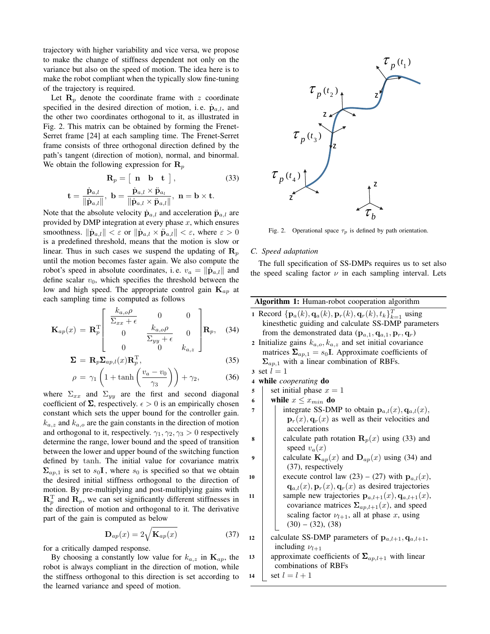trajectory with higher variability and vice versa, we propose to make the change of stiffness dependent not only on the variance but also on the speed of motion. The idea here is to make the robot compliant when the typically slow fine-tuning of the trajectory is required.

Let  $\mathbf{R}_p$  denote the coordinate frame with z coordinate specified in the desired direction of motion, i.e.  $\dot{\mathbf{p}}_{a,l}$ , and the other two coordinates orthogonal to it, as illustrated in Fig. 2. This matrix can be obtained by forming the Frenet-Serret frame [24] at each sampling time. The Frenet-Serret frame consists of three orthogonal direction defined by the path's tangent (direction of motion), normal, and binormal. We obtain the following expression for  $\mathbf{R}_p$ 

$$
\mathbf{R}_p = \begin{bmatrix} \mathbf{n} & \mathbf{b} & \mathbf{t} \end{bmatrix},\tag{33}
$$
\n
$$
\dot{\mathbf{p}}_{a,l} = \mathbf{p}_a + \dot{\mathbf{p}}_{a,l} \times \ddot{\mathbf{p}}_{a_l} = \mathbf{p}_a + \mathbf{p}_a + \mathbf{p}_a
$$

$$
\mathbf{t} = \frac{\mathbf{p}_{a,l}}{\|\dot{\mathbf{p}}_{a,l}\|}, \ \mathbf{b} = \frac{\mathbf{p}_{a,l} \wedge \mathbf{p}_{a_l}}{\|\dot{\mathbf{p}}_{a,l} \times \ddot{\mathbf{p}}_{a,l}\|}, \ \mathbf{n} = \mathbf{b} \times \mathbf{t}.
$$

Note that the absolute velocity  $\dot{\mathbf{p}}_{a,l}$  and acceleration  $\ddot{\mathbf{p}}_{a,l}$  are provided by DMP integration at every phase  $x$ , which ensures smoothness.  $\|\dot{\mathbf{p}}_{a,l}\| < \varepsilon$  or  $\|\dot{\mathbf{p}}_{a,l} \times \ddot{\mathbf{p}}_{a,l}\| < \varepsilon$ , where  $\varepsilon > 0$ is a predefined threshold, means that the motion is slow or linear. Thus in such cases we suspend the updating of  $\mathbf{R}_p$ until the motion becomes faster again. We also compute the robot's speed in absolute coordinates, i.e.  $v_a = ||\dot{\mathbf{p}}_{a,l}||$  and define scalar  $v_0$ , which specifies the threshold between the low and high speed. The appropriate control gain  $\mathbf{K}_{ap}$  at each sampling time is computed as follows

$$
\mathbf{K}_{ap}(x) = \mathbf{R}_p^{\mathrm{T}} \begin{bmatrix} \frac{k_{a,o}\rho}{\Sigma_{xx}+\epsilon} & 0 & 0\\ 0 & \frac{k_{a,o}\rho}{\Sigma_{yy}+\epsilon} & 0\\ 0 & 0 & k_{a,z} \end{bmatrix} \mathbf{R}_p, \quad (34)
$$

$$
\Sigma = \mathbf{R}_p \Sigma_{ap,l}(x) \mathbf{R}_p^{\mathrm{T}},\tag{35}
$$

$$
\rho = \gamma_1 \left( 1 + \tanh\left(\frac{v_a - v_0}{\gamma_3}\right) \right) + \gamma_2, \tag{36}
$$

where  $\Sigma_{xx}$  and  $\Sigma_{yy}$  are the first and second diagonal coefficient of  $\Sigma$ , respectively.  $\epsilon > 0$  is an empirically chosen constant which sets the upper bound for the controller gain.  $k_{a,z}$  and  $k_{a,o}$  are the gain constants in the direction of motion and orthogonal to it, respectively.  $\gamma_1, \gamma_2, \gamma_3 > 0$  respectively determine the range, lower bound and the speed of transition between the lower and upper bound of the switching function defined by tanh. The initial value for covariance matrix  $\Sigma_{ap,1}$  is set to  $s_0$ **I**, where  $s_0$  is specified so that we obtain the desired initial stiffness orthogonal to the direction of motion. By pre-multiplying and post-multiplying gains with  $\mathbf{R}_p^{\mathrm{T}}$  and  $\mathbf{R}_p$ , we can set significantly different stiffnesses in the direction of motion and orthogonal to it. The derivative part of the gain is computed as below

$$
\mathbf{D}_{ap}(x) = 2\sqrt{\mathbf{K}_{ap}(x)}\tag{37}
$$

for a critically damped response.

By choosing a constantly low value for  $k_{a,z}$  in  $\mathbf{K}_{ap}$ , the robot is always compliant in the direction of motion, while the stiffness orthogonal to this direction is set according to the learned variance and speed of motion.



Fig. 2. Operational space  $\tau_p$  is defined by path orientation.

# *C. Speed adaptation*

The full specification of SS-DMPs requires us to set also the speed scaling factor  $\nu$  in each sampling interval. Lets

|                         | Algorithm 1: Human-robot cooperation algorithm                                                         |
|-------------------------|--------------------------------------------------------------------------------------------------------|
|                         | 1 Record $\{ \mathbf{p}_a(k), \mathbf{q}_a(k), \mathbf{p}_r(k), \mathbf{q}_r(k), t_k \}_{k=1}^T$ using |
|                         | kinesthetic guiding and calculate SS-DMP parameters                                                    |
|                         | from the demonstrated data $(\mathbf{p}_{a,1}, \mathbf{q}_{a,1}, \mathbf{p}_r, \mathbf{q}_r)$          |
|                         | 2 Initialize gains $k_{a,o}, k_{a,z}$ and set initial covariance                                       |
|                         | matrices $\Sigma_{ap,1} = s_0 \mathbf{I}$ . Approximate coefficients of                                |
|                         | $\Sigma_{ap,1}$ with a linear combination of RBFs.                                                     |
|                         | 3 set $l=1$                                                                                            |
| $\overline{\mathbf{4}}$ | while <i>cooperating</i> do                                                                            |
| 5                       | set initial phase $x = 1$                                                                              |
| 6                       | while $x \leq x_{min}$ do                                                                              |
| 7                       | integrate SS-DMP to obtain $\mathbf{p}_{a,l}(x), \mathbf{q}_{a,l}(x),$                                 |
|                         | $\mathbf{p}_r(x), \mathbf{q}_r(x)$ as well as their velocities and                                     |
|                         | accelerations                                                                                          |
| 8                       | calculate path rotation $\mathbf{R}_p(x)$ using (33) and                                               |
|                         | speed $v_a(x)$                                                                                         |
| 9                       | calculate $\mathbf{K}_{ap}(x)$ and $\mathbf{D}_{ap}(x)$ using (34) and                                 |
|                         | (37), respectively                                                                                     |
| 10                      | execute control law (23) – (27) with $\mathbf{p}_{a,l}(x)$ ,                                           |
|                         | $\mathbf{q}_{a,l}(x), \mathbf{p}_r(x), \mathbf{q}_r(x)$ as desired trajectories                        |
| 11                      | sample new trajectories $\mathbf{p}_{a,l+1}(x), \mathbf{q}_{a,l+1}(x),$                                |
|                         | covariance matrices $\Sigma_{ap,l+1}(x)$ , and speed                                                   |
|                         | scaling factor $\nu_{l+1}$ , all at phase x, using                                                     |
|                         | $(30) - (32), (38)$                                                                                    |
| 12                      | calculate SS-DMP parameters of $\mathbf{p}_{a,l+1}, \mathbf{q}_{a,l+1}$ ,                              |
|                         | including $\nu_{l+1}$                                                                                  |
| 13                      | approximate coefficients of $\Sigma_{ap,l+1}$ with linear                                              |
|                         | combinations of RBFs                                                                                   |
| 14                      | set $l = l + 1$                                                                                        |
|                         |                                                                                                        |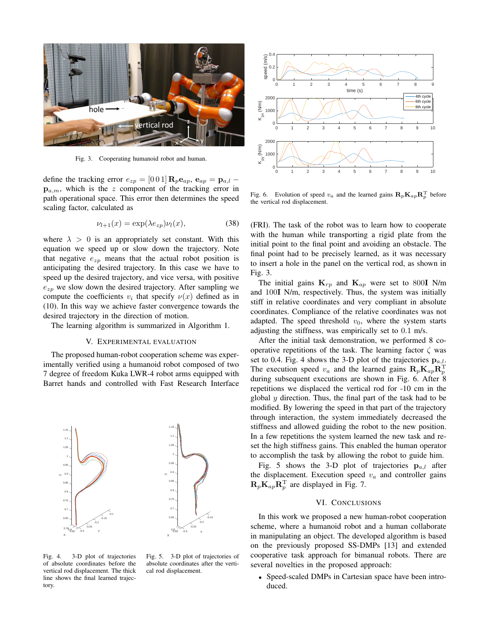

Fig. 3. Cooperating humanoid robot and human.

define the tracking error  $e_{zp} = [0 \ 0 \ 1] \mathbf{R}_p \mathbf{e}_{ap}$ ,  $\mathbf{e}_{ap} = \mathbf{p}_{a,l}$  $\mathbf{p}_{a,m}$ , which is the z component of the tracking error in path operational space. This error then determines the speed scaling factor, calculated as

$$
\nu_{l+1}(x) = \exp(\lambda e_{zp}) \nu_l(x),\tag{38}
$$

where  $\lambda > 0$  is an appropriately set constant. With this equation we speed up or slow down the trajectory. Note that negative  $e_{zp}$  means that the actual robot position is anticipating the desired trajectory. In this case we have to speed up the desired trajectory, and vice versa, with positive  $e_{zp}$  we slow down the desired trajectory. After sampling we compute the coefficients  $v_i$  that specify  $v(x)$  defined as in (10). In this way we achieve faster convergence towards the desired trajectory in the direction of motion.

The learning algorithm is summarized in Algorithm 1.

## V. EXPERIMENTAL EVALUATION

The proposed human-robot cooperation scheme was experimentally verified using a humanoid robot composed of two 7 degree of freedom Kuka LWR-4 robot arms equipped with Barret hands and controlled with Fast Research Interface



Fig. 4. 3-D plot of trajectories of absolute coordinates before the vertical rod displacement. The thick line shows the final learned trajectory.

Fig. 5. 3-D plot of trajectories of absolute coordinates after the vertical rod displacement.



Fig. 6. Evolution of speed  $v_a$  and the learned gains  $\mathbf{R}_p \mathbf{K}_{ap} \mathbf{R}_p^{\mathrm{T}}$  before the vertical rod displacement.

(FRI). The task of the robot was to learn how to cooperate with the human while transporting a rigid plate from the initial point to the final point and avoiding an obstacle. The final point had to be precisely learned, as it was necessary to insert a hole in the panel on the vertical rod, as shown in Fig. 3.

The initial gains  $\mathbf{K}_{rp}$  and  $\mathbf{K}_{ap}$  were set to 800I N/m and 100I N/m, respectively. Thus, the system was initially stiff in relative coordinates and very compliant in absolute coordinates. Compliance of the relative coordinates was not adapted. The speed threshold  $v_0$ , where the system starts adjusting the stiffness, was empirically set to 0.1 m/s.

After the initial task demonstration, we performed 8 cooperative repetitions of the task. The learning factor  $\zeta$  was set to 0.4. Fig. 4 shows the 3-D plot of the trajectories  $p_{a,l}$ . The execution speed  $v_a$  and the learned gains  $\mathbf{R}_p \mathbf{K}_{ap} \mathbf{R}_p^{\mathrm{T}}$ during subsequent executions are shown in Fig. 6. After 8 repetitions we displaced the vertical rod for -10 cm in the global  $y$  direction. Thus, the final part of the task had to be modified. By lowering the speed in that part of the trajectory through interaction, the system immediately decreased the stiffness and allowed guiding the robot to the new position. In a few repetitions the system learned the new task and reset the high stiffness gains. This enabled the human operator to accomplish the task by allowing the robot to guide him.

Fig. 5 shows the 3-D plot of trajectories  $\mathbf{p}_{a,l}$  after the displacement. Execution speed  $v_a$  and controller gains  $\mathbf{R}_p \mathbf{K}_{ap} \mathbf{R}_p^{\mathrm{T}}$  are displayed in Fig. 7.

# VI. CONCLUSIONS

In this work we proposed a new human-robot cooperation scheme, where a humanoid robot and a human collaborate in manipulating an object. The developed algorithm is based on the previously proposed SS-DMPs [13] and extended cooperative task approach for bimanual robots. There are several novelties in the proposed approach:

• Speed-scaled DMPs in Cartesian space have been introduced.